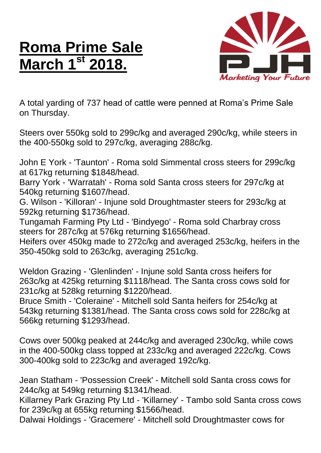## **Roma Prime Sale March 1st 2018.**



A total yarding of 737 head of cattle were penned at Roma's Prime Sale on Thursday.

Steers over 550kg sold to 299c/kg and averaged 290c/kg, while steers in the 400-550kg sold to 297c/kg, averaging 288c/kg.

John E York - 'Taunton' - Roma sold Simmental cross steers for 299c/kg at 617kg returning \$1848/head.

Barry York - 'Warratah' - Roma sold Santa cross steers for 297c/kg at 540kg returning \$1607/head.

G. Wilson - 'Killoran' - Injune sold Droughtmaster steers for 293c/kg at 592kg returning \$1736/head.

Tungamah Farming Pty Ltd - 'Bindyego' - Roma sold Charbray cross steers for 287c/kg at 576kg returning \$1656/head.

Heifers over 450kg made to 272c/kg and averaged 253c/kg, heifers in the 350-450kg sold to 263c/kg, averaging 251c/kg.

Weldon Grazing - 'Glenlinden' - Injune sold Santa cross heifers for 263c/kg at 425kg returning \$1118/head. The Santa cross cows sold for 231c/kg at 528kg returning \$1220/head.

Bruce Smith - 'Coleraine' - Mitchell sold Santa heifers for 254c/kg at 543kg returning \$1381/head. The Santa cross cows sold for 228c/kg at 566kg returning \$1293/head.

Cows over 500kg peaked at 244c/kg and averaged 230c/kg, while cows in the 400-500kg class topped at 233c/kg and averaged 222c/kg. Cows 300-400kg sold to 223c/kg and averaged 192c/kg.

Jean Statham - 'Possession Creek' - Mitchell sold Santa cross cows for 244c/kg at 549kg returning \$1341/head.

Killarney Park Grazing Pty Ltd - 'Killarney' - Tambo sold Santa cross cows for 239c/kg at 655kg returning \$1566/head.

Dalwai Holdings - 'Gracemere' - Mitchell sold Droughtmaster cows for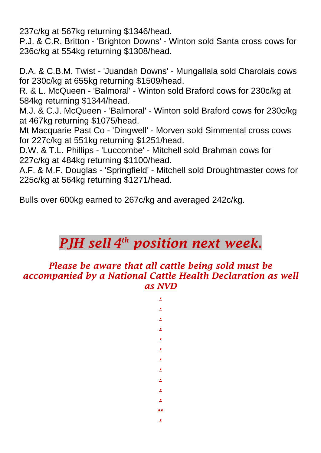237c/kg at 567kg returning \$1346/head.

P.J. & C.R. Britton - 'Brighton Downs' - Winton sold Santa cross cows for 236c/kg at 554kg returning \$1308/head.

D.A. & C.B.M. Twist - 'Juandah Downs' - Mungallala sold Charolais cows for 230c/kg at 655kg returning \$1509/head.

R. & L. McQueen - 'Balmoral' - Winton sold Braford cows for 230c/kg at 584kg returning \$1344/head.

M.J. & C.J. McQueen - 'Balmoral' - Winton sold Braford cows for 230c/kg at 467kg returning \$1075/head.

Mt Macquarie Past Co - 'Dingwell' - Morven sold Simmental cross cows for 227c/kg at 551kg returning \$1251/head.

D.W. & T.L. Phillips - 'Luccombe' - Mitchell sold Brahman cows for 227c/kg at 484kg returning \$1100/head.

A.F. & M.F. Douglas - 'Springfield' - Mitchell sold Droughtmaster cows for 225c/kg at 564kg returning \$1271/head.

Bulls over 600kg earned to 267c/kg and averaged 242c/kg.

## *PJH sell 4 th position next week.*

*Please be aware that all cattle being sold must be accompanied by a National Cattle Health Declaration as well as NVD*

> *. . . .*

*. . . . . . . .. .*